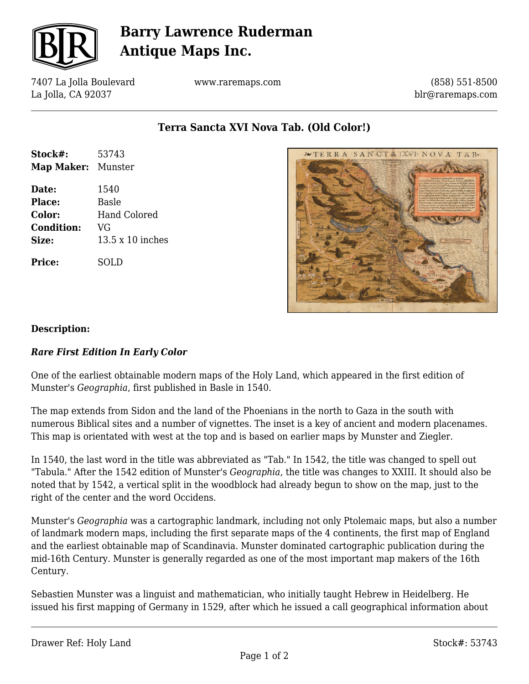

# **Barry Lawrence Ruderman Antique Maps Inc.**

7407 La Jolla Boulevard La Jolla, CA 92037

www.raremaps.com

(858) 551-8500 blr@raremaps.com

**Terra Sancta XVI Nova Tab. (Old Color!)**

| Stock#:<br><b>Map Maker:</b> Munster | 53743                   |
|--------------------------------------|-------------------------|
| Date:                                | 1540                    |
| <b>Place:</b>                        | <b>Basle</b>            |
| <b>Color:</b>                        | Hand Colored            |
| <b>Condition:</b>                    | VG                      |
| <b>Size:</b>                         | $13.5 \times 10$ inches |
| <b>Price:</b>                        | SOLD                    |



### **Description:**

#### *Rare First Edition In Early Color*

One of the earliest obtainable modern maps of the Holy Land, which appeared in the first edition of Munster's *Geographia*, first published in Basle in 1540.

The map extends from Sidon and the land of the Phoenians in the north to Gaza in the south with numerous Biblical sites and a number of vignettes. The inset is a key of ancient and modern placenames. This map is orientated with west at the top and is based on earlier maps by Munster and Ziegler.

In 1540, the last word in the title was abbreviated as "Tab." In 1542, the title was changed to spell out "Tabula." After the 1542 edition of Munster's *Geographia*, the title was changes to XXIII. It should also be noted that by 1542, a vertical split in the woodblock had already begun to show on the map, just to the right of the center and the word Occidens.

Munster's *Geographia* was a cartographic landmark, including not only Ptolemaic maps, but also a number of landmark modern maps, including the first separate maps of the 4 continents, the first map of England and the earliest obtainable map of Scandinavia. Munster dominated cartographic publication during the mid-16th Century. Munster is generally regarded as one of the most important map makers of the 16th Century.

Sebastien Munster was a linguist and mathematician, who initially taught Hebrew in Heidelberg. He issued his first mapping of Germany in 1529, after which he issued a call geographical information about